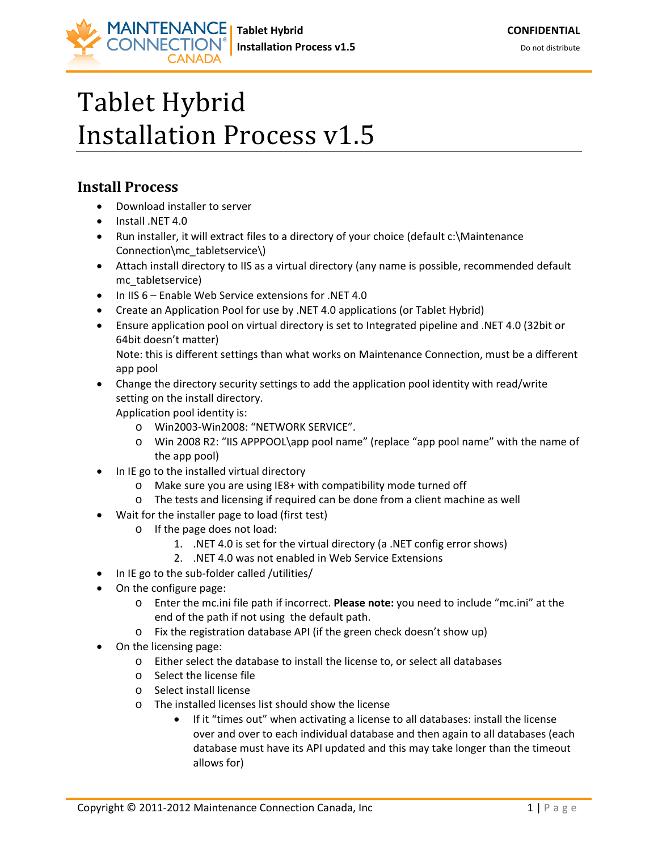## Tablet Hybrid Installation Process v1.5

## **Install Process**

• Download installer to server

**ONNECTION** 

- Install .NET 4.0
- Run installer, it will extract files to a directory of your choice (default c:\Maintenance Connection\mc\_tabletservice\)
- Attach install directory to IIS as a virtual directory (any name is possible, recommended default mc\_tabletservice)
- In IIS 6 Enable Web Service extensions for .NET 4.0
- Create an Application Pool for use by .NET 4.0 applications (or Tablet Hybrid)
- Ensure application pool on virtual directory is set to Integrated pipeline and .NET 4.0 (32bit or 64bit doesn't matter) Note: this is different settings than what works on Maintenance Connection, must be a different

app pool

• Change the directory security settings to add the application pool identity with read/write setting on the install directory.

Application pool identity is:

- o Win2003-Win2008: "NETWORK SERVICE".
- o Win 2008 R2: "IIS APPPOOL\app pool name" (replace "app pool name" with the name of the app pool)
- In IE go to the installed virtual directory
	- o Make sure you are using IE8+ with compatibility mode turned off
	- o The tests and licensing if required can be done from a client machine as well
- Wait for the installer page to load (first test)
	- o If the page does not load:
		- 1. .NET 4.0 is set for the virtual directory (a .NET config error shows)
		- 2. .NET 4.0 was not enabled in Web Service Extensions
- In IE go to the sub-folder called /utilities/
- On the configure page:
	- o Enter the mc.ini file path if incorrect. **Please note:** you need to include "mc.ini" at the end of the path if not using the default path.
	- o Fix the registration database API (if the green check doesn't show up)
- On the licensing page:
	- o Either select the database to install the license to, or select all databases
	- o Select the license file
	- o Select install license
	- o The installed licenses list should show the license
		- If it "times out" when activating a license to all databases: install the license over and over to each individual database and then again to all databases (each database must have its API updated and this may take longer than the timeout allows for)